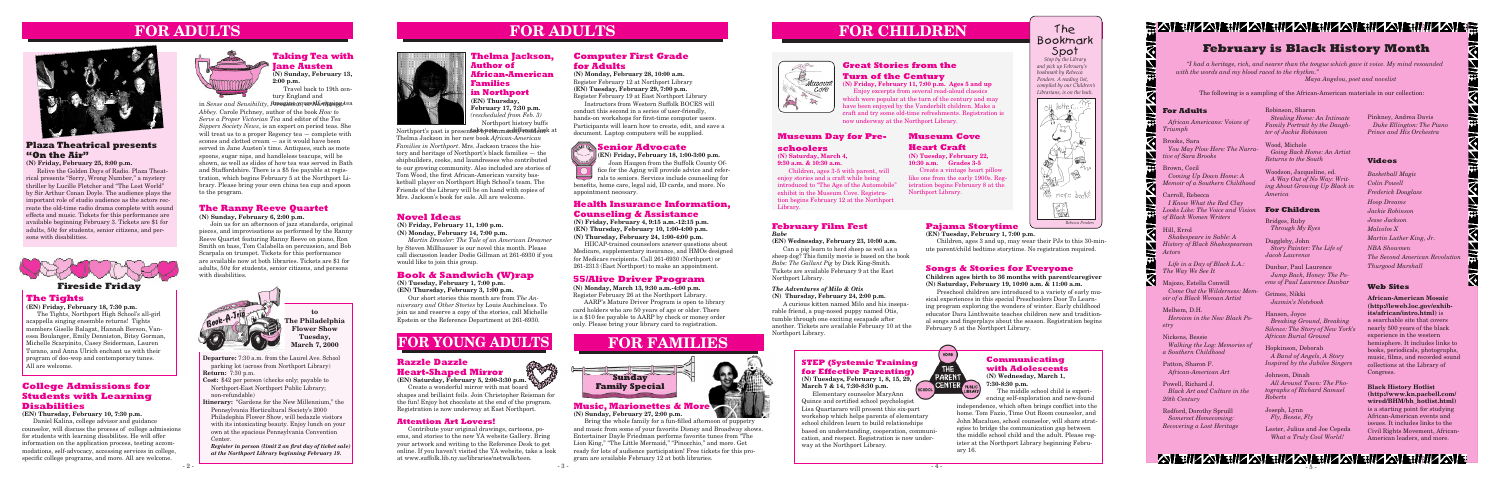**Departure:** 7:30 a.m. from the Laurel Ave. School parking lot (across from Northport Library) **Return:** 7:30 p.m.

- **Cost:** \$42 per person (checks only; payable to Northport-East Northport Public Library; non-refundable)
- **Itinerary:** "Gardens for the New Millennium," the Pennsylvania Horticultural Society's 2000
- Philadephia Flower Show, will bedazzle visitors with its intoxicating beauty. Enjoy lunch on your own at the spacious Pennsylvania Convention Center.

*Register in person (limit 2 on first day of ticket sale) at the Northport Library beginning February 19.*



# **FOR ADULTS**





**FOR CHILDREN**

# **Communicating with Adolescents**

**(N) Wednesday, March 1, 7:30-8:30 p.m.**

The middle school child is experiencing self-exploration and new-found

*Brian Powers Stop by the Library and pick up February's* 



ATEITZAIEITZAIEITZAIEITZAIEITZAIEITZAIEI - 5 -

The Bookmark Spot

*Rebecca Penders*

**Road** 

Mo more books!

 $\sqrt{20}$ 

BAL

**to The Philadelphia Flower Show Tuesday, March 7, 2000**

> **STEP (Systemic Training for Effective Parenting) (N) Tuesdays, February 1, 8, 15, 29,**

**March 7 & 14, 7:30-8:30 p.m.**

Elementary counselor MaryAnn Quince and certified school psychologist Lisa Quartararo will present this six-part workshop which helps parents of elementary school children learn to build relationships based on understanding, cooperation, communication, and respect. Registration is now underway at the Northport Library.

# **The Tights**

**(EN) Friday, February 18, 7:30 p.m.** The Tights, Northport High School's all-girl acappella singing ensemble returns! Tights members Giselle Balagat, Hannah Berson, Vanessa Boulanger, Emily Denniston, Bitsy Gorman, Michelle Scarpinito, Casey Seiderman, Lauren Turano, and Anna Ulrich enchant us with their program of doo-wop and contemporary tunes. All are welcome.

> **ILCAL CONDUCT OF STREET CONSUMING THE CONSUMING STREET CONSUMING THE CONSUMING STREET CONSUMING STREET CONSUMING STREET CONSUMING STREET CONSUMING STREET CONSUMING STREET CONSUMING STREET CONSUMING STREET CONSUMING STREET** Create a wonderful mirror with mat board shapes and brillaint foils. Join Christopher Reisman for the fun! Enjoy hot chocolate at the end of the program. Registration is now underway at East Northport.

# **FOR YOUNG ADULTS**

# **The Ranny Reeve Quartet**

**(N) Sunday, February 6, 2:00 p.m.**

Join us for an afternoon of jazz standards, original pieces, and improvisations as performed by the Ranny Reeve Quartet featuring Ranny Reeve on piano, Ron Smith on bass, Tom Calabella on percussion, and Bob Scarpala on trumpet. Tickets for this performance are available now at both libraries. Tickets are \$1 for adults, 50¢ for students, senior citizens, and persons with disabilities.

## **Plaza Theatrical presents "On the Air"**

**(N) Friday, February 25, 8:00 p.m.**

Majozo, Estella Conwill *Come Out the Wilderness: Memoir of a Black Woman Artist*

Relive the Golden Days of Radio. Plaza Theatrical presents "Sorry, Wrong Number," a mystery thriller by Lucille Fletcher and "The Lost World" by Sir Arthur Conan Doyle. The audience plays the important role of studio audience as the actors recreate the old-time radio drama complete with sound effects and music. Tickets for this performance are available beginning February 3. Tickets are \$1 for adults, 50¢ for students, senior citizens, and persons with disabilities.



## **College Admissions for Students with Learning Disabilities**

**(EN) Thursday, February 10, 7:30 p.m.**

Daniel Kalina, college advisor and guidance counselor, will discuss the process of college admissions for students with learning disabilites. He will offer information on the application process, testing accommodations, self-advocacy, accessing services in college, specific college programs, and more. All are welcome.



# **Razzle Dazzle Heart-Shaped Mirror**



#### **Attention Art Lovers!**

Contribute your original drawings, cartoons, poems, and stories to the new YA website Gallery. Bring your artwork and writing to the Reference Desk to get online. If you haven't visited the YA website, take a look at www.suffolk.lib.ny.us/libraries/netwalk/teen.

## **Pajama Storytime**

**(EN) Tuesday, February 1, 7:00 p.m.**

in *Sense and Sensibility*, *Persuasion*, or *Sense and Sensibility*, *Persuasion*, or *After Abbey*. Carole Pichney, author of the book *How to Serve a Proper Victorian Tea* and editor of the *Tea Sippers Society News*, is an expert on period teas. She will treat us to a proper Regency tea — complete with scones and clotted cream — as it would have been served in Jane Austen's time. Antiques, such as mote spoons, sugar nips, and handleless teacups, will be shown, as well as slides of how tea was served in Bath and Staffordshire. There is a \$5 fee payable at registration, which begins February 5 at the Northport Library. Please bring your own china tea cup and spoon to the program.

> Children, ages 3 and up, may wear their PJs to this 30-minute parent/child bedtime storytime. No registration required.

## **Songs & Stories for Everyone**

**Children ages birth to 36 months with parent/caregiver (N) Saturday, February 19, 10:00 a.m. & 11:00 a.m.**

Preschool children are introduced to a variety of early musical experiences in this special Preschoolers Door To Learning program exploring the wonders of winter. Early childhood educator Dara Linthwaite teaches children new and traditional songs and fingerplays about the season. Registration begins February 5 at the Northport Library.

#### **For Adults**

 *African Americans: Voices of Triumph*

Brooks, Sara *You May Plow Here: The Narrative of Sara Brooks*

Brown, Cecil *Coming Up Down Home: A Memoir of a Southern Childhood*

Carroll, Rebecca *I Know What the Red Clay Looks Like: The Voice and Vision of Black Women Writers*

Hill, Errol *Shakespeare in Sable: A History of Black Shakespearean Actors*

 *Life in a Day of Black L.A.: The Way We See It*

Melhem, D.H. *Heroism in the New Black Poetry*

Nickens, Bessie *Walking the Log: Memories of a Southern Childhood*

Patton, Sharon F. *African-American Art*

Powell, Richard J. *Black Art and Culture in the 20th Century*

Redford, Dorothy Spruill *Somerset Homecoming: Recovering a Lost Heritage* Robinson, Sharon *Stealing Home: An Intimate Family Portrait by the Daughter of Jackie Robinson*

Wood, Michele *Going Back Home: An Artist Returns to the South*

Woodson, Jacqueline, ed. *A Way Out of No Way: Writing About Growing Up Black in America*

Northport's past is presented by a demmandifferent dack at Thelma Jackson in her new book *African-American Families in Northport*. Mrs. Jackson traces the history and heritage of Northport's black families — the shipbuilders, cooks, and laundresses who contributed to our growing community. Also included are stories of Tom Wood, the first African-American varsity basketball player on Northport High School's team. The Friends of the Library will be on hand with copies of Mrs. Jackson's book for sale. All are welcome.

#### **For Children**

Bridges, Ruby *Through My Eyes*

Duggleby, John *Story Painter: The Life of Jacob Lawrence*

Dunbar, Paul Laurence *Jump Back, Honey: The Poems of Paul Laurence Dunbar*

Grimes, Nikki *Jazmin's Notebook*

Hansen, Joyce *Breaking Ground, Breaking Silence: The Story of New York's African Burial Ground*

Hopkinson, Deborah  *A Band of Angels, A Story Inspired by the Jubilee Singers*

Johnson, Dinah *All Around Town: The Photographs of Richard Samuel Roberts*

Joseph, Lynn *Fly, Bessie, Fly*

Lester, Julius and Joe Cepeda  *What a Truly Cool World!*

#### **Taking Tea with Jane Austen (N) Sunday, February 13,**

**2:00 p.m.** Travel back to 19th century England and

### **55/Alive Driver Program**

**(N) Monday, March 13, 9:30 a.m.-4:00 p.m.** Register February 26 at the Northport Library.

AARP's Mature Driver Program is open to library card holders who are 50 years of age or older. There is a \$10 fee payable to AARP by check or money order only. Please bring your library card to registration.

# Museum  $C$ o $Ye$

#### **Health Insurance Information, Counseling & Assistance**

**(N) Friday, February 4, 9:15 a.m.-12:15 p.m. (EN) Thursday, February 10, 1:00-4:00 p.m. (N) Thursday, February 24, 1:00-4:00 p.m.**

HIICAP-trained counselors answer questions about Medicare, supplementary insurance, and HMOs designed for Medicare recipients. Call 261-6930 (Northport) or 261-2313 (East Northport) to make an appointment.

**(EN) Friday, February 18, 1:00-3:00 p.m.** Joan Haugen from the Suffolk County Office for the Aging will provide advice and referrals to seniors. Services include counseling for benefits, home care, legal aid, ID cards, and more. No

appointment necesary.

# **Great Stories from the Turn of the Century**

**(N) Friday, February 11, 7:00 p.m. Ages 5 and up**

Enjoy excerpts from several read-aloud classics which were popular at the turn of the century and may have been enjoyed by the Vanderbilt children. Make a craft and try some old-time refreshments. Registration is now underway at the Northport Library.

## **Museum Day for Pre-**

#### **schoolers**

**(N) Saturday, March 4, 9:30 a.m. & 10:30 a.m.**

 $\begin{matrix} \mathcal{L} \mathcal{L} \mathcal{L} \mathcal{L} \mathcal{L} \mathcal{L} \mathcal{L} \mathcal{L} \mathcal{L} \mathcal{L} \mathcal{L} \mathcal{L} \mathcal{L} \mathcal{L} \mathcal{L} \mathcal{L} \mathcal{L} \mathcal{L} \mathcal{L} \mathcal{L} \mathcal{L} \mathcal{L} \mathcal{L} \mathcal{L} \mathcal{L} \mathcal{L} \mathcal{L} \mathcal{L} \mathcal{L} \mathcal{L} \mathcal{L} \mathcal{L} \mathcal{L} \mathcal{L} \mathcal{L} \mathcal{L$ 

Children, ages 3-5 with parent, will enjoy stories and a craft while being introduced to "The Age of the Automobile" exhibit in the Museum Cove. Registration begins February 12 at the Northport Library.

> independence, which often brings conflict into the home. Tom Fazio, Time Out Room counselor, and John Macaluso, school counselor, will share strategies to bridge the communication gap between the middle school child and the adult. Please register at the Northport Library beginning February 16.

HOME

THE PARENT CENTER

# 盖公住班公主班公公住班公公住班公公住班公公住班和公公住房

# **FOR FAMILIES**

# **February is Black History Month**

*"I had a heritage, rich, and nearer than the tongue which gave it voice. My mind resounded with the words and my blood raced to the rhythm."*

 *Maya Angelou, poet and novelist*

The following is a sampling of the African-American materials in our collection:

#### **Web Sites**

**African-American Mosaic (http://leweb.loc.gov/exhibits/african/intro.html)** is a searchable site that covers nearly 500 years of the black experience in the western hemisphere. It includes links to books, periodicals, photographs, music, films, and recorded sound collections at the Library of Congress.

**Black History Hotlist (http://www.kn.pacbell.com/ wired/BHM/bh\_hotlist.html)**  is a starting point for studying African-American events and issues. It includes links to the Civil Rights Movement, African-American leaders, and more.

#### **Music, Marionettes & More (N) Sunday, February 27, 2:00 p.m.**

Bring the whole family for a fun-filled afternoon of puppetry and music from some of your favorite Disney and Broadway shows. Entertainer Dayle Friedman performs favorite tunes from "The Lion King," "The Little Mermaid," "Pinocchio," and more. Get ready for lots of audience participation! Free tickets for this program are available February 12 at both libraries.

#### **Videos**

*Basketball Magic Colin Powell Frederick Douglass Hoop Dreams Jackie Robinson Jesse Jackson Malcolm X Martin Luther King, Jr. NBA Showmen The Second American Revolution Thurgood Marshall*

K

#### **Thelma Jackson, Author of African-American Families in Northport (EN) Thursday, February 17, 7:30 p.m.** *(rescheduled from Feb. 3)*

Northport history buffs



## **Novel Ideas**

#### **(N) Friday, February 11, 1:00 p.m. (N) Monday, February 14, 7:00 p.m.**

*Martin Dressler: The Tale of an American Dreamer* by Steven Millhauser is our novel this month. Please call discussion leader Dodie Gillman at 261-6930 if you would like to join this group.

# **Book & Sandwich (W)rap**

**(N) Tuesday, February 1, 7:00 p.m. (EN) Thursday, February 3, 1:00 p.m.**

Our short stories this month are from *The Anniversary and Other Stories* by Louis Auchincloss. To join us and reserve a copy of the stories, call Michelle Epstein or the Reference Department at 261-6930.

# **FOR ADULTS**

## **Computer First Grade for Adults**

**(N) Monday, February 28, 10:00 a.m.** Register February 12 at Northport Library **(EN) Tuesday, February 29, 7:00 p.m.** Register February 19 at East Northport Library

Instructors from Western Suffolk BOCES will conduct this second in a series of user-friendly, hands-on workshops for first-time computer users. Participants will learn how to create, edit, and save a document. Laptop computers will be supplied.

## **Senior Advocate**

## **February Film Fest**

#### *Babe*

**(EN) Wednesday, February 23, 10:00 a.m.**

Can a pig learn to herd sheep as well as a sheep dog? This family movie is based on the book *Babe: The Gallant Pig* by Dick King-Smith. Tickets are available February 9 at the East Northport Library.

#### *The Adventures of Milo & Otis* **(N) Thursday, February 24, 2:00 p.m.**

A curious kitten named Milo and his inseparable friend, a pug-nosed puppy named Otis, tumble through one exciting escapade after another. Tickets are available February 10 at the Northport Library.

# **Museum Cove**

## **Heart Craft**

**(N) Tuesday, February 22, 10:30 a.m. Grades 3-5**

Create a vintage heart pillow like one from the early 1900s. Registration begins February 8 at the Northport Library.

Pinkney, Andrea Davis *Duke Ellington: The Piano Prince and His Orchestra*

# **Fireside Friday**